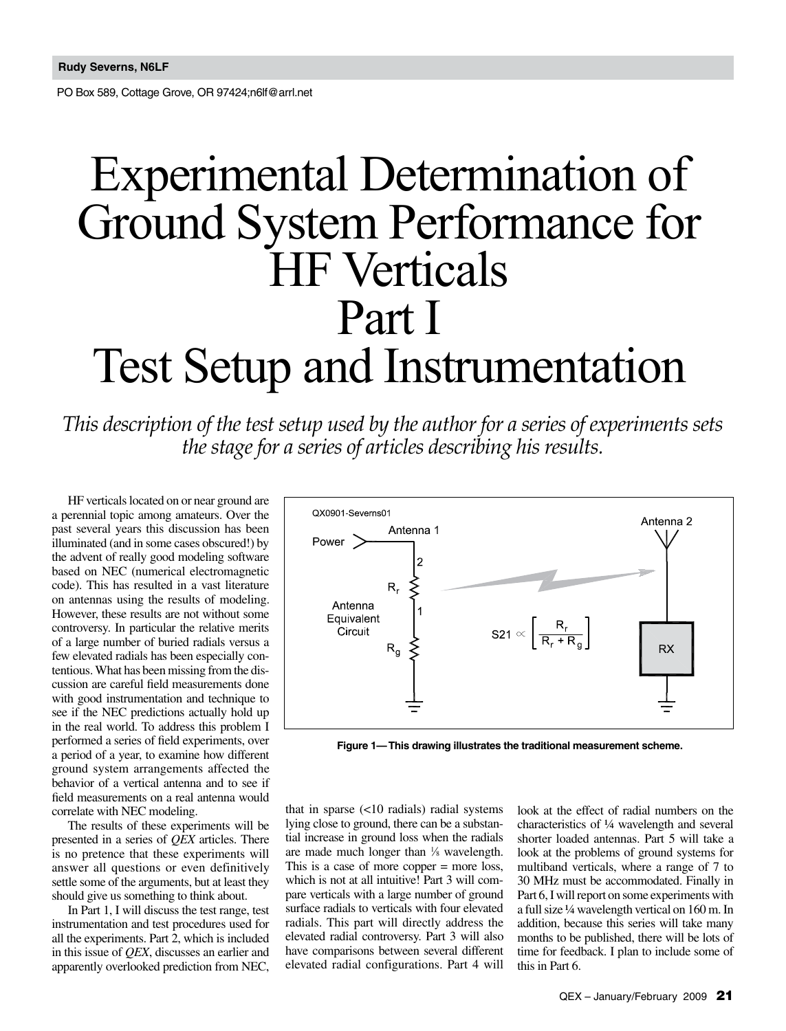PO Box 589, Cottage Grove, OR 97424;n6lf@arrl.net

# Experimental Determination of Ground System Performance for HF Verticals Part I Test Setup and Instrumentation

*This description of the test setup used by the author for a series of experiments sets the stage for a series of articles describing his results.*

HF verticals located on or near ground are a perennial topic among amateurs. Over the past several years this discussion has been illuminated (and in some cases obscured!) by the advent of really good modeling software based on NEC (numerical electromagnetic code). This has resulted in a vast literature on antennas using the results of modeling. However, these results are not without some controversy. In particular the relative merits of a large number of buried radials versus a few elevated radials has been especially contentious. What has been missing from the discussion are careful field measurements done with good instrumentation and technique to see if the NEC predictions actually hold up in the real world. To address this problem I performed a series of field experiments, over a period of a year, to examine how different ground system arrangements affected the behavior of a vertical antenna and to see if field measurements on a real antenna would correlate with NEC modeling.

The results of these experiments will be presented in a series of *QEX* articles. There is no pretence that these experiments will answer all questions or even definitively settle some of the arguments, but at least they should give us something to think about.

In Part 1, I will discuss the test range, test instrumentation and test procedures used for all the experiments. Part 2, which is included in this issue of *QEX*, discusses an earlier and apparently overlooked prediction from NEC,



**Figure 1— This drawing illustrates the traditional measurement scheme.**

that in sparse (<10 radials) radial systems lying close to ground, there can be a substantial increase in ground loss when the radials are made much longer than 1 ⁄8 wavelength. This is a case of more copper = more loss, which is not at all intuitive! Part 3 will compare verticals with a large number of ground surface radials to verticals with four elevated radials. This part will directly address the elevated radial controversy. Part 3 will also have comparisons between several different elevated radial configurations. Part 4 will

look at the effect of radial numbers on the characteristics of ¼ wavelength and several shorter loaded antennas. Part 5 will take a look at the problems of ground systems for multiband verticals, where a range of 7 to 30 MHz must be accommodated. Finally in Part 6, I will report on some experiments with a full size ¼ wavelength vertical on 160 m. In addition, because this series will take many months to be published, there will be lots of time for feedback. I plan to include some of this in Part 6.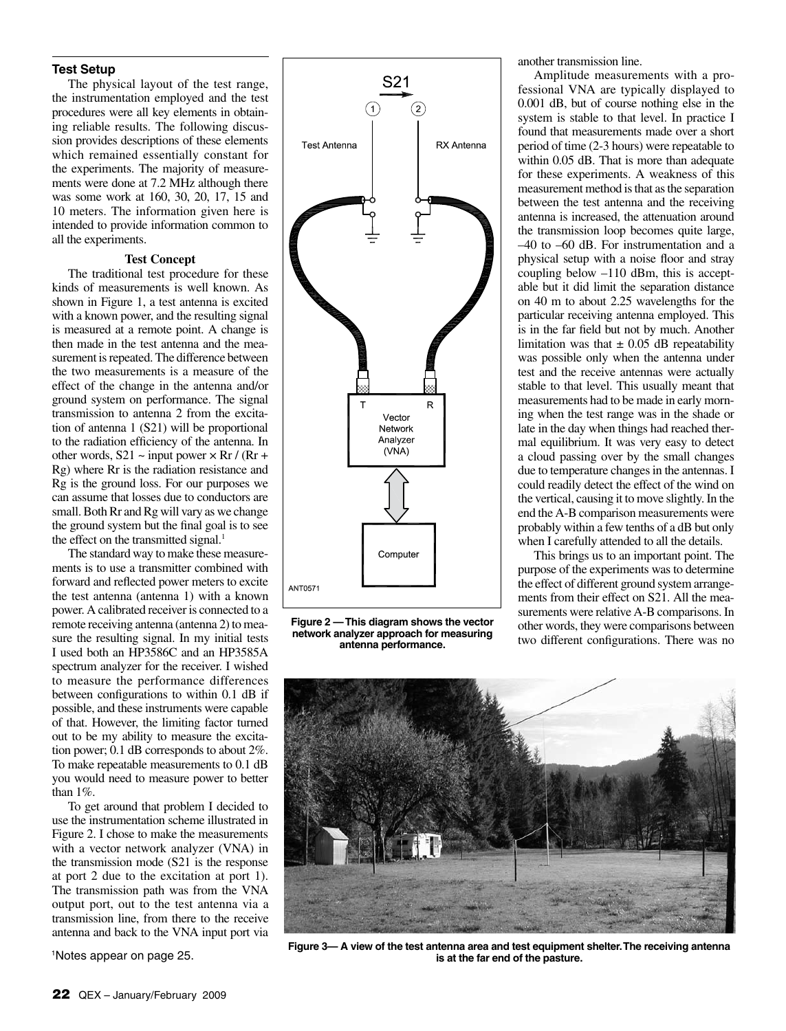### **Test Setup**

The physical layout of the test range, the instrumentation employed and the test procedures were all key elements in obtaining reliable results. The following discussion provides descriptions of these elements which remained essentially constant for the experiments. The majority of measurements were done at 7.2 MHz although there was some work at 160, 30, 20, 17, 15 and 10 meters. The information given here is intended to provide information common to all the experiments.

#### **Test Concept**

The traditional test procedure for these kinds of measurements is well known. As shown in Figure 1, a test antenna is excited with a known power, and the resulting signal is measured at a remote point. A change is then made in the test antenna and the measurement is repeated. The difference between the two measurements is a measure of the effect of the change in the antenna and/or ground system on performance. The signal transmission to antenna 2 from the excitation of antenna 1 (S21) will be proportional to the radiation efficiency of the antenna. In other words,  $S21 \sim input power \times Rr / (Rr +$ Rg) where Rr is the radiation resistance and Rg is the ground loss. For our purposes we can assume that losses due to conductors are small. Both Rr and Rg will vary as we change the ground system but the final goal is to see the effect on the transmitted signal.<sup>1</sup>

The standard way to make these measurements is to use a transmitter combined with forward and reflected power meters to excite the test antenna (antenna 1) with a known power. A calibrated receiver is connected to a remote receiving antenna (antenna 2) to measure the resulting signal. In my initial tests I used both an HP3586C and an HP3585A spectrum analyzer for the receiver. I wished to measure the performance differences between configurations to within 0.1 dB if possible, and these instruments were capable of that. However, the limiting factor turned out to be my ability to measure the excitation power; 0.1 dB corresponds to about 2%. To make repeatable measurements to 0.1 dB you would need to measure power to better than 1%.

To get around that problem I decided to use the instrumentation scheme illustrated in Figure 2. I chose to make the measurements with a vector network analyzer (VNA) in the transmission mode (S21 is the response at port 2 due to the excitation at port 1). The transmission path was from the VNA output port, out to the test antenna via a transmission line, from there to the receive antenna and back to the VNA input port via



**Figure 2 — This diagram shows the vector network analyzer approach for measuring antenna performance.**

another transmission line.

Amplitude measurements with a professional VNA are typically displayed to 0.001 dB, but of course nothing else in the system is stable to that level. In practice I found that measurements made over a short period of time (2-3 hours) were repeatable to within 0.05 dB. That is more than adequate for these experiments. A weakness of this measurement method is that as the separation between the test antenna and the receiving antenna is increased, the attenuation around the transmission loop becomes quite large, –40 to –60 dB. For instrumentation and a physical setup with a noise floor and stray coupling below –110 dBm, this is acceptable but it did limit the separation distance on 40 m to about 2.25 wavelengths for the particular receiving antenna employed. This is in the far field but not by much. Another limitation was that  $\pm$  0.05 dB repeatability was possible only when the antenna under test and the receive antennas were actually stable to that level. This usually meant that measurements had to be made in early morning when the test range was in the shade or late in the day when things had reached thermal equilibrium. It was very easy to detect a cloud passing over by the small changes due to temperature changes in the antennas. I could readily detect the effect of the wind on the vertical, causing it to move slightly. In the end the A-B comparison measurements were probably within a few tenths of a dB but only when I carefully attended to all the details.

This brings us to an important point. The purpose of the experiments was to determine the effect of different ground system arrangements from their effect on S21. All the measurements were relative A-B comparisons. In other words, they were comparisons between two different configurations. There was no



**Figure 3— A view of the test antenna area and test equipment shelter. The receiving antenna is at the far end of the pasture.**

1 Notes appear on page 25.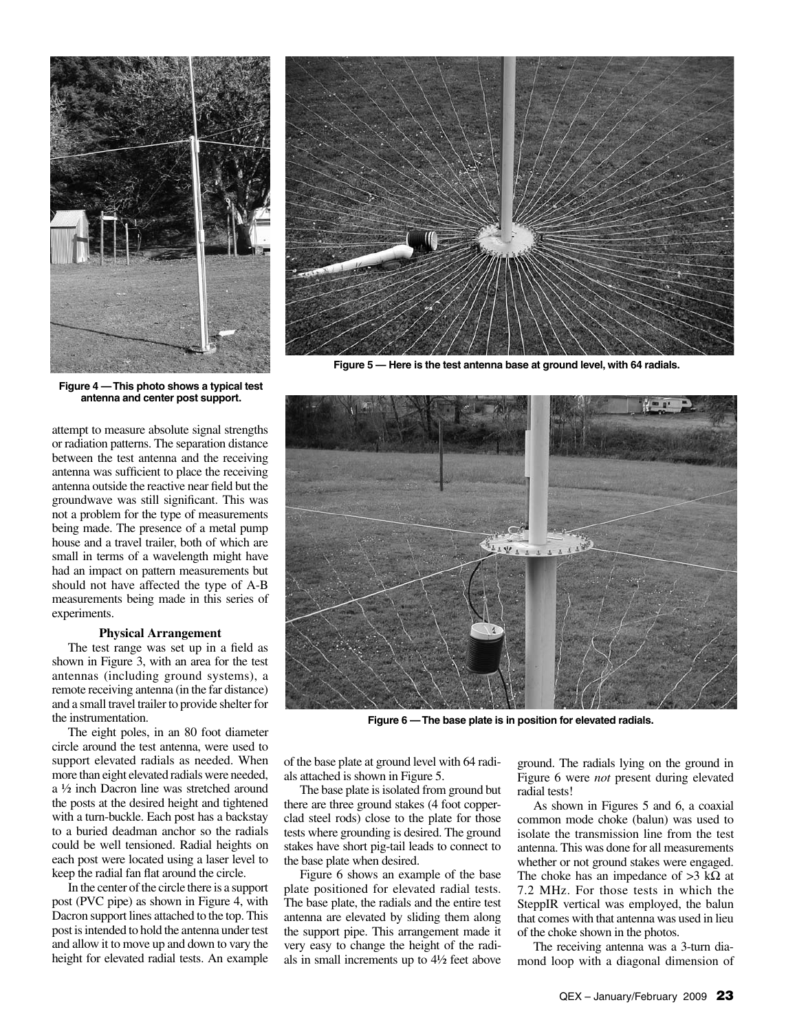

**Figure 4 — This photo shows a typical test antenna and center post support.**

attempt to measure absolute signal strengths or radiation patterns. The separation distance between the test antenna and the receiving antenna was sufficient to place the receiving antenna outside the reactive near field but the groundwave was still significant. This was not a problem for the type of measurements being made. The presence of a metal pump house and a travel trailer, both of which are small in terms of a wavelength might have had an impact on pattern measurements but should not have affected the type of A-B measurements being made in this series of experiments.

## **Physical Arrangement**

The test range was set up in a field as shown in Figure 3, with an area for the test antennas (including ground systems), a remote receiving antenna (in the far distance) and a small travel trailer to provide shelter for the instrumentation.

The eight poles, in an 80 foot diameter circle around the test antenna, were used to support elevated radials as needed. When more than eight elevated radials were needed, a ½ inch Dacron line was stretched around the posts at the desired height and tightened with a turn-buckle. Each post has a backstay to a buried deadman anchor so the radials could be well tensioned. Radial heights on each post were located using a laser level to keep the radial fan flat around the circle.

In the center of the circle there is a support post (PVC pipe) as shown in Figure 4, with Dacron support lines attached to the top. This post is intended to hold the antenna under test and allow it to move up and down to vary the height for elevated radial tests. An example



**Figure 5 — Here is the test antenna base at ground level, with 64 radials.**



**Figure 6 — The base plate is in position for elevated radials.**

of the base plate at ground level with 64 radials attached is shown in Figure 5.

The base plate is isolated from ground but there are three ground stakes (4 foot copperclad steel rods) close to the plate for those tests where grounding is desired. The ground stakes have short pig-tail leads to connect to the base plate when desired.

Figure 6 shows an example of the base plate positioned for elevated radial tests. The base plate, the radials and the entire test antenna are elevated by sliding them along the support pipe. This arrangement made it very easy to change the height of the radials in small increments up to 4½ feet above

ground. The radials lying on the ground in Figure 6 were *not* present during elevated radial tests!

As shown in Figures 5 and 6, a coaxial common mode choke (balun) was used to isolate the transmission line from the test antenna. This was done for all measurements whether or not ground stakes were engaged. The choke has an impedance of  $>3$  k $\Omega$  at 7.2 MHz. For those tests in which the SteppIR vertical was employed, the balun that comes with that antenna was used in lieu of the choke shown in the photos.

The receiving antenna was a 3-turn diamond loop with a diagonal dimension of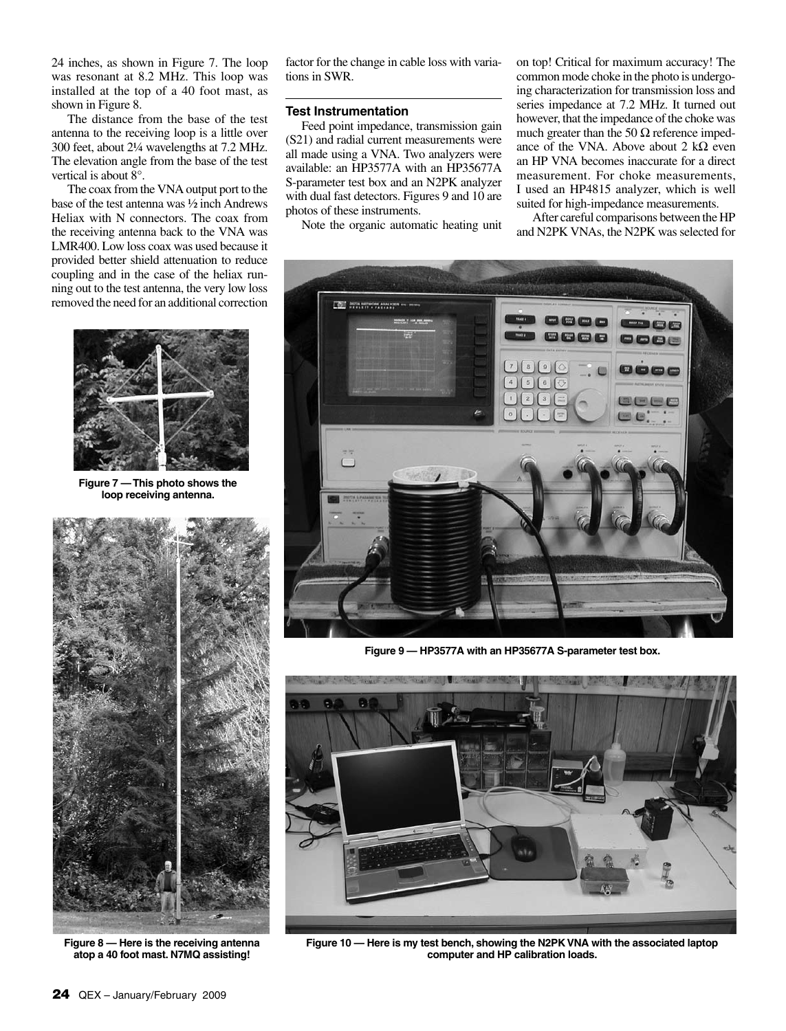24 inches, as shown in Figure 7. The loop was resonant at 8.2 MHz. This loop was installed at the top of a 40 foot mast, as shown in Figure 8.

The distance from the base of the test antenna to the receiving loop is a little over 300 feet, about 2¼ wavelengths at 7.2 MHz. The elevation angle from the base of the test vertical is about 8°.

The coax from the VNA output port to the base of the test antenna was ½ inch Andrews Heliax with N connectors. The coax from the receiving antenna back to the VNA was LMR400. Low loss coax was used because it provided better shield attenuation to reduce coupling and in the case of the heliax running out to the test antenna, the very low loss removed the need for an additional correction



**Figure 7 — This photo shows the loop receiving antenna.**



**Figure 8 — Here is the receiving antenna atop a 40 foot mast. N7MQ assisting!**

factor for the change in cable loss with variations in SWR.

# **Test Instrumentation**

Feed point impedance, transmission gain (S21) and radial current measurements were all made using a VNA. Two analyzers were available: an HP3577A with an HP35677A S-parameter test box and an N2PK analyzer with dual fast detectors. Figures 9 and 10 are photos of these instruments.

Note the organic automatic heating unit

on top! Critical for maximum accuracy! The common mode choke in the photo is undergoing characterization for transmission loss and series impedance at 7.2 MHz. It turned out however, that the impedance of the choke was much greater than the 50  $\Omega$  reference impedance of the VNA. Above about 2 kΩ even an HP VNA becomes inaccurate for a direct measurement. For choke measurements, I used an HP4815 analyzer, which is well suited for high-impedance measurements.

After careful comparisons between the HP and N2PK VNAs, the N2PK was selected for



**Figure 9 — HP3577A with an HP35677A S-parameter test box.**



**Figure 10 — Here is my test bench, showing the N2PK VNA with the associated laptop computer and HP calibration loads.**